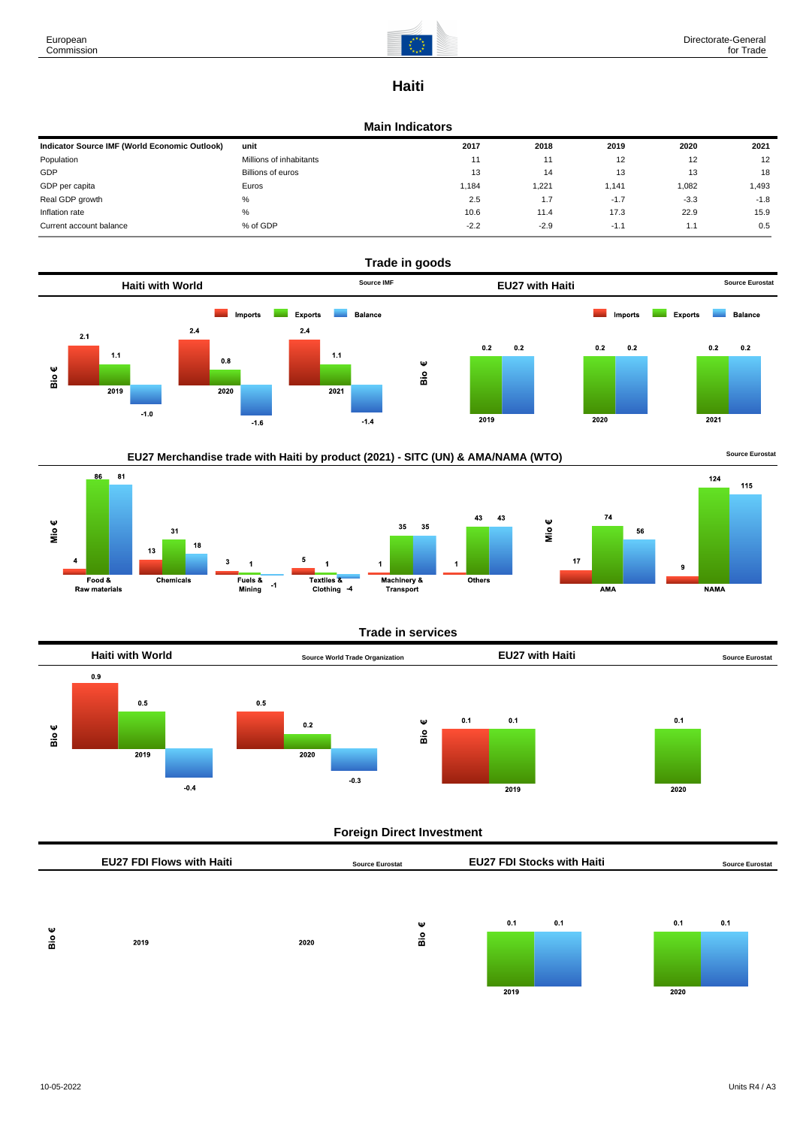

## **Haiti**

### **Main Indicators**

| Indicator Source IMF (World Economic Outlook) | unit                    | 2017   | 2018   | 2019   | 2020   | 2021   |
|-----------------------------------------------|-------------------------|--------|--------|--------|--------|--------|
| Population                                    | Millions of inhabitants | 11     | 11     | 12     | 12     | 12     |
| GDP                                           | Billions of euros       | 13     | 14     | 13     | 13     | 18     |
| GDP per capita                                | Euros                   | 1,184  | 1.221  | .141   | 1,082  | 1.493  |
| Real GDP growth                               | %                       | 2.5    | 1.7    | $-1.7$ | $-3.3$ | $-1.8$ |
| Inflation rate                                | %                       | 10.6   | 11.4   | 17.3   | 22.9   | 15.9   |
| Current account balance                       | % of GDP                | $-2.2$ | $-2.9$ | $-1.1$ | 1.1    | 0.5    |





## **Trade in services**



## **Foreign Direct Investment**

|          | <b>EU27 FDI Flows with Haiti</b> |      | <b>Source Eurostat</b> | <b>EU27 FDI Stocks with Haiti</b> |     |             | <b>Source Eurostat</b> |
|----------|----------------------------------|------|------------------------|-----------------------------------|-----|-------------|------------------------|
| Ψ<br>Bio | 2019                             | 2020 | Ψ<br>å                 | 0.1<br>2019                       | 0.1 | 0.1<br>2020 | 0.1                    |